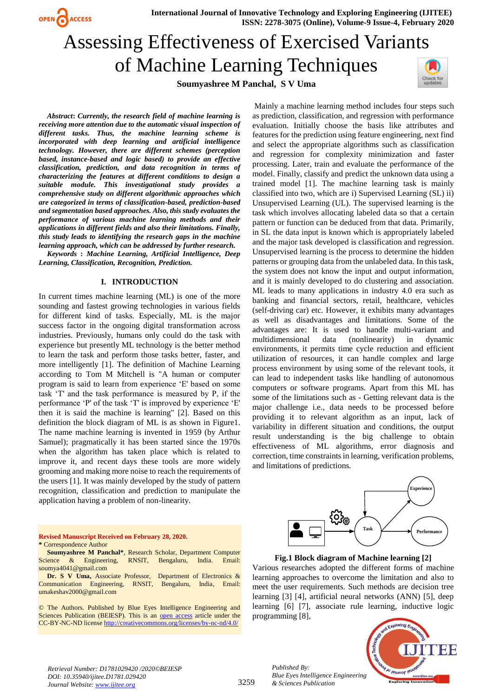**International Journal of Innovative Technology and Exploring Engineering (IJITEE) ISSN: 2278-3075 (Online), Volume-9 Issue-4, February 2020**

# Assessing Effectiveness of Exercised Variants of Machine Learning Techniques

**Soumyashree M Panchal, S V Uma**



*Abstract***:** *Currently, the research field of machine learning is receiving more attention due to the automatic visual inspection of different tasks. Thus, the machine learning scheme is incorporated with deep learning and artificial intelligence technology. However, there are different schemes (perception based, instance-based and logic based) to provide an effective classification, prediction, and data recognition in terms of characterizing the features at different conditions to design a suitable module. This investigational study provides a comprehensive study on different algorithmic approaches which are categorized in terms of classification-based, prediction-based and segmentation based approaches. Also, this study evaluates the performance of various machine learning methods and their applications in different fields and also their limitations. Finally, this study leads to identifying the research gaps in the machine learning approach, which can be addressed by further research.*

OPEN CACCESS

*Keywords* **:** *Machine Learning, Artificial Intelligence, Deep Learning, Classification, Recognition, Prediction.*

#### **I. INTRODUCTION**

In current times machine learning (ML) is one of the more sounding and fastest growing technologies in various fields for different kind of tasks. Especially, ML is the major success factor in the ongoing digital transformation across industries. Previously, humans only could do the task with experience but presently ML technology is the better method to learn the task and perform those tasks better, faster, and more intelligently [1]. The definition of Machine Learning according to Tom M Mitchell is "A human or computer program is said to learn from experience 'E' based on some task 'T' and the task performance is measured by P, if the performance 'P' of the task 'T' is improved by experience 'E' then it is said the machine is learning" [2]. Based on this definition the block diagram of ML is as shown in Figure1. The name machine learning is invented in 1959 (by Arthur Samuel); pragmatically it has been started since the 1970s when the algorithm has taken place which is related to improve it, and recent days these tools are more widely grooming and making more noise to reach the requirements of the users [1]. It was mainly developed by the study of pattern recognition, classification and prediction to manipulate the application having a problem of non-linearity.

#### **Revised Manuscript Received on February 28, 2020. \*** Correspondence Author

**Soumyashree M Panchal\***, Research Scholar, Department Computer Science & Engineering, RNSIT, Bengaluru, India. Email: soumya4041@gmail.com

**Dr. S V Uma,** Associate Professor, Department of Electronics & Communication Engineering, RNSIT, Bengaluru, India, Email: umakeshav2000@gmail.com

© The Authors. Published by Blue Eyes Intelligence Engineering and Sciences Publication (BEIESP). This is an [open access](https://www.openaccess.nl/en/open-publications) article under the CC-BY-NC-ND licens[e http://creativecommons.org/licenses/by-nc-nd/4.0/](http://creativecommons.org/licenses/by-nc-nd/4.0/)

Mainly a machine learning method includes four steps such as prediction, classification, and regression with performance evaluation. Initially choose the basis like attributes and features for the prediction using feature engineering, next find and select the appropriate algorithms such as classification and regression for complexity minimization and faster processing. Later, train and evaluate the performance of the model. Finally, classify and predict the unknown data using a trained model [1]. The machine learning task is mainly classified into two, which are i) Supervised Learning (SL) ii) Unsupervised Learning (UL). The supervised learning is the task which involves allocating labeled data so that a certain pattern or function can be deduced from that data. Primarily, in SL the data input is known which is appropriately labeled and the major task developed is classification and regression. Unsupervised learning is the process to determine the hidden patterns or grouping data from the unlabeled data. In this task, the system does not know the input and output information, and it is mainly developed to do clustering and association. ML leads to many applications in industry 4.0 era such as banking and financial sectors, retail, healthcare, vehicles (self-driving car) etc. However, it exhibits many advantages as well as disadvantages and limitations. Some of the advantages are: It is used to handle multi-variant and multidimensional data (nonlinearity) in dynamic environments, it permits time cycle reduction and efficient utilization of resources, it can handle complex and large process environment by using some of the relevant tools, it can lead to independent tasks like handling of autonomous computers or software programs. Apart from this ML has some of the limitations such as - Getting relevant data is the major challenge i.e., data needs to be processed before providing it to relevant algorithm as an input, lack of variability in different situation and conditions, the output result understanding is the big challenge to obtain effectiveness of ML algorithms, error diagnosis and correction, time constraints in learning, verification problems, and limitations of predictions.



**Fig.1 Block diagram of Machine learning [2]**

Various researches adopted the different forms of machine learning approaches to overcome the limitation and also to meet the user requirements. Such methods are decision tree learning [3] [4], artificial neural networks (ANN) [5], deep learning [6] [7], associate rule learning, inductive logic programming [8],



*Retrieval Number: D1781029420 /2020©BEIESP DOI: 10.35940/ijitee.D1781.029420 Journal Website: www.ijitee.org*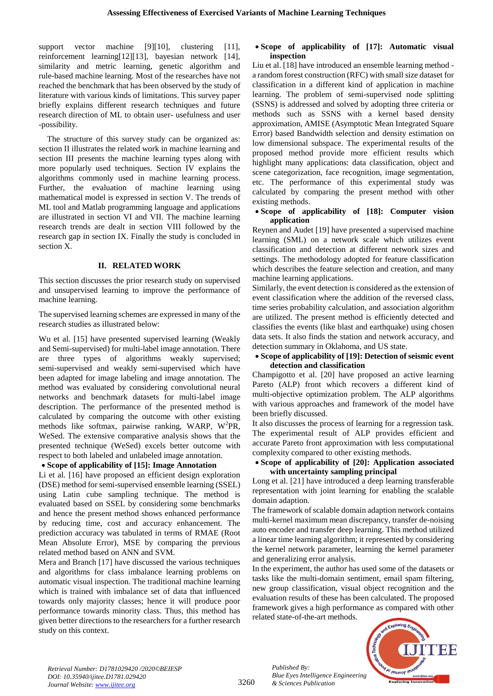support vector machine [9][10], clustering [11], reinforcement learning[12][13], bayesian network [14], similarity and metric learning, genetic algorithm and rule-based machine learning. Most of the researches have not reached the benchmark that has been observed by the study of literature with various kinds of limitations. This survey paper briefly explains different research techniques and future research direction of ML to obtain user- usefulness and user -possibility.

The structure of this survey study can be organized as: section II illustrates the related work in machine learning and section III presents the machine learning types along with more popularly used techniques. Section IV explains the algorithms commonly used in machine learning process. Further, the evaluation of machine learning using mathematical model is expressed in section V. The trends of ML tool and Matlab programming language and applications are illustrated in section VI and VII. The machine learning research trends are dealt in section VIII followed by the research gap in section IX. Finally the study is concluded in section X.

#### **II. RELATED WORK**

This section discusses the prior research study on supervised and unsupervised learning to improve the performance of machine learning.

The supervised learning schemes are expressed in many of the research studies as illustrated below:

Wu et al. [15] have presented supervised learning (Weakly and Semi-supervised) for multi-label image annotation. There are three types of algorithms weakly supervised; semi-supervised and weakly semi-supervised which have been adapted for image labeling and image annotation. The method was evaluated by considering convolutional neural networks and benchmark datasets for multi-label image description. The performance of the presented method is calculated by comparing the outcome with other existing methods like softmax, pairwise ranking, WARP, W<sup>2</sup>PR, WeSed. The extensive comparative analysis shows that the presented technique (WeSed) excels better outcome with respect to both labeled and unlabeled image annotation.

#### **Scope of applicability of [15]: Image Annotation**

Li et al. [16] have proposed an efficient design exploration (DSE) method for semi-supervised ensemble learning (SSEL) using Latin cube sampling technique. The method is evaluated based on SSEL by considering some benchmarks and hence the present method shows enhanced performance by reducing time, cost and accuracy enhancement. The prediction accuracy was tabulated in terms of RMAE (Root Mean Absolute Error), MSE by comparing the previous related method based on ANN and SVM.

Mera and Branch [17] have discussed the various techniques and algorithms for class imbalance learning problems on automatic visual inspection. The traditional machine learning which is trained with imbalance set of data that influenced towards only majority classes; hence it will produce poor performance towards minority class. Thus, this method has given better directions to the researchers for a further research study on this context.

### **Scope of applicability of [17]: Automatic visual inspection**

Liu et al. [18] have introduced an ensemble learning method a random forest construction (RFC) with small size dataset for classification in a different kind of application in machine learning. The problem of semi-supervised node splitting (SSNS) is addressed and solved by adopting three criteria or methods such as SSNS with a kernel based density approximation, AMISE (Asymptotic Mean Integrated Square Error) based Bandwidth selection and density estimation on low dimensional subspace. The experimental results of the proposed method provide more efficient results which highlight many applications: data classification, object and scene categorization, face recognition, image segmentation, etc. The performance of this experimental study was calculated by comparing the present method with other existing methods.

#### **Scope of applicability of [18]: Computer vision application**

Reynen and Audet [19] have presented a supervised machine learning (SML) on a network scale which utilizes event classification and detection at different network sizes and settings. The methodology adopted for feature classification which describes the feature selection and creation, and many machine learning applications.

Similarly, the event detection is considered as the extension of event classification where the addition of the reversed class, time series probability calculation, and association algorithm are utilized. The present method is efficiently detected and classifies the events (like blast and earthquake) using chosen data sets. It also finds the station and network accuracy, and detection summary in Oklahoma, and US state.

### **Scope of applicability of [19]: Detection of seismic event detection and classification**

Champigotto et al. [20] have proposed an active learning Pareto (ALP) front which recovers a different kind of multi-objective optimization problem. The ALP algorithms with various approaches and framework of the model have been briefly discussed.

It also discusses the process of learning for a regression task. The experimental result of ALP provides efficient and accurate Pareto front approximation with less computational complexity compared to other existing methods.

#### **Scope of applicability of [20]: Application associated with uncertainty sampling principal**

Long et al. [21] have introduced a deep learning transferable representation with joint learning for enabling the scalable domain adaption.

The framework of scalable domain adaption network contains multi-kernel maximum mean discrepancy, transfer de-noising auto encoder and transfer deep learning. This method utilized a linear time learning algorithm; it represented by considering the kernel network parameter, learning the kernel parameter and generalizing error analysis.

In the experiment, the author has used some of the datasets or tasks like the multi-domain sentiment, email spam filtering, new group classification, visual object recognition and the evaluation results of these has been calculated. The proposed framework gives a high performance as compared with other related state-of-the-art methods.



*Retrieval Number: D1781029420 /2020©BEIESP DOI: 10.35940/ijitee.D1781.029420 Journal Website: www.ijitee.org*

3260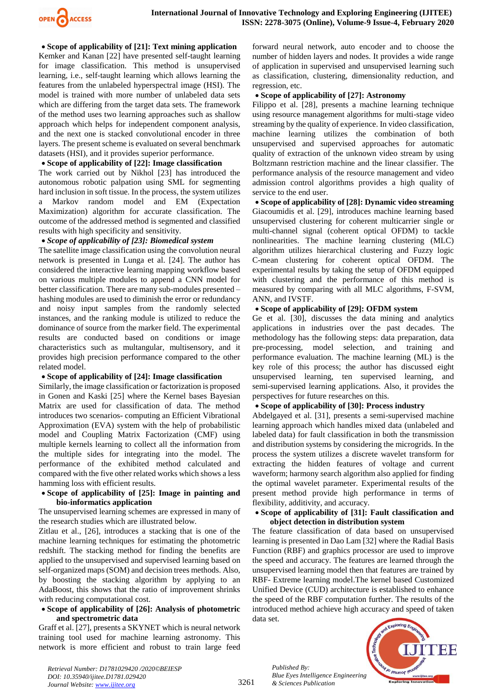

 **Scope of applicability of [21]: Text mining application** Kemker and Kanan [22] have presented self-taught learning for image classification. This method is unsupervised learning, i.e., self-taught learning which allows learning the features from the unlabeled hyperspectral image (HSI). The model is trained with more number of unlabeled data sets which are differing from the target data sets. The framework of the method uses two learning approaches such as shallow approach which helps for independent component analysis, and the next one is stacked convolutional encoder in three layers. The present scheme is evaluated on several benchmark datasets (HSI), and it provides superior performance.

#### **Scope of applicability of [22]: Image classification**

The work carried out by Nikhol [23] has introduced the autonomous robotic palpation using SML for segmenting hard inclusion in soft tissue. In the process, the system utilizes a Markov random model and EM (Expectation Maximization) algorithm for accurate classification. The outcome of the addressed method is segmented and classified results with high specificity and sensitivity.

#### *Scope of applicability of [23]: Biomedical system*

The satellite image classification using the convolution neural network is presented in Lunga et al. [24]. The author has considered the interactive learning mapping workflow based on various multiple modules to append a CNN model for better classification. There are many sub-modules presented – hashing modules are used to diminish the error or redundancy and noisy input samples from the randomly selected instances, and the ranking module is utilized to reduce the dominance of source from the marker field. The experimental results are conducted based on conditions or image characteristics such as multangular, multisensory, and it provides high precision performance compared to the other related model.

#### **Scope of applicability of [24]: Image classification**

Similarly, the image classification or factorization is proposed in Gonen and Kaski [25] where the Kernel bases Bayesian Matrix are used for classification of data. The method introduces two scenarios- computing an Efficient Vibrational Approximation (EVA) system with the help of probabilistic model and Coupling Matrix Factorization (CMF) using multiple kernels learning to collect all the information from the multiple sides for integrating into the model. The performance of the exhibited method calculated and compared with the five other related works which shows a less hamming loss with efficient results.

#### **Scope of applicability of [25]: Image in painting and bio-informatics application**

The unsupervised learning schemes are expressed in many of the research studies which are illustrated below.

Zitlau et al., [26], introduces a stacking that is one of the machine learning techniques for estimating the photometric redshift. The stacking method for finding the benefits are applied to the unsupervised and supervised learning based on self-organized maps (SOM) and decision trees methods. Also, by boosting the stacking algorithm by applying to an AdaBoost, this shows that the ratio of improvement shrinks with reducing computational cost.

#### **Scope of applicability of [26]: Analysis of photometric and spectrometric data**

Graff et al. [27], presents a SKYNET which is neural network training tool used for machine learning astronomy. This network is more efficient and robust to train large feed

forward neural network, auto encoder and to choose the number of hidden layers and nodes. It provides a wide range of application in supervised and unsupervised learning such as classification, clustering, dimensionality reduction, and regression, etc.

#### **Scope of applicability of [27]: Astronomy**

Filippo et al. [28], presents a machine learning technique using resource management algorithms for multi-stage video streaming by the quality of experience. In video classification, machine learning utilizes the combination of both unsupervised and supervised approaches for automatic quality of extraction of the unknown video stream by using Boltzmann restriction machine and the linear classifier. The performance analysis of the resource management and video admission control algorithms provides a high quality of service to the end user.

 **Scope of applicability of [28]: Dynamic video streaming** Giacoumidis et al. [29], introduces machine learning based unsupervised clustering for coherent multicarrier single or multi-channel signal (coherent optical OFDM) to tackle nonlinearities. The machine learning clustering (MLC) algorithm utilizes hierarchical clustering and Fuzzy logic C-mean clustering for coherent optical OFDM. The experimental results by taking the setup of OFDM equipped with clustering and the performance of this method is measured by comparing with all MLC algorithms, F-SVM, ANN, and IVSTF.

#### **Scope of applicability of [29]: OFDM system**

Ge et al. [30], discusses the data mining and analytics applications in industries over the past decades. The methodology has the following steps: data preparation, data pre-processing, model selection, and training and performance evaluation. The machine learning (ML) is the key role of this process; the author has discussed eight unsupervised learning, ten supervised learning, and semi-supervised learning applications. Also, it provides the perspectives for future researches on this.

#### **Scope of applicability of [30]: Process industry**

Abdelgayed et al. [31], presents a semi-supervised machine learning approach which handles mixed data (unlabeled and labeled data) for fault classification in both the transmission and distribution systems by considering the microgrids. In the process the system utilizes a discrete wavelet transform for extracting the hidden features of voltage and current waveform; harmony search algorithm also applied for finding the optimal wavelet parameter. Experimental results of the present method provide high performance in terms of flexibility, additivity, and accuracy.

#### **Scope of applicability of [31]: Fault classification and object detection in distribution system**

The feature classification of data based on unsupervised learning is presented in Dao Lam [32] where the Radial Basis Function (RBF) and graphics processor are used to improve the speed and accuracy. The features are learned through the unsupervised learning model then that features are trained by RBF- Extreme learning model.The kernel based Customized Unified Device (CUD) architecture is established to enhance the speed of the RBF computation further. The results of the introduced method achieve high accuracy and speed of taken data set.



*Retrieval Number: D1781029420 /2020©BEIESP DOI: 10.35940/ijitee.D1781.029420 Journal Website: www.ijitee.org*

*Published By:*

*& Sciences Publication*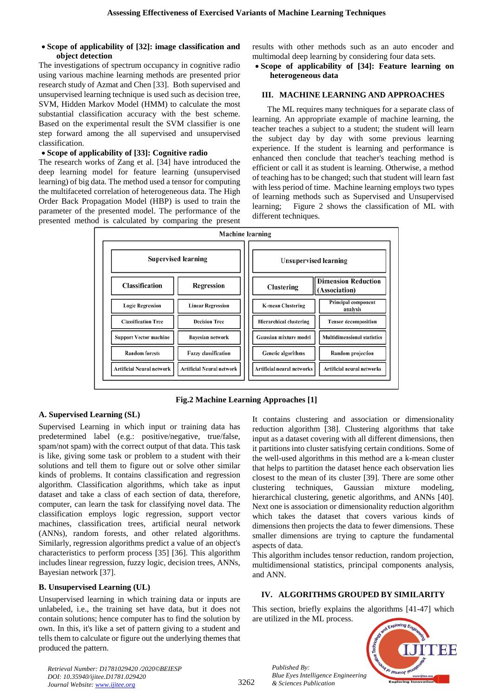#### **Scope of applicability of [32]: image classification and object detection**

The investigations of spectrum occupancy in cognitive radio using various machine learning methods are presented prior research study of Azmat and Chen [33]. Both supervised and unsupervised learning technique is used such as decision tree, SVM, Hidden Markov Model (HMM) to calculate the most substantial classification accuracy with the best scheme. Based on the experimental result the SVM classifier is one step forward among the all supervised and unsupervised classification.

#### **Scope of applicability of [33]: Cognitive radio**

The research works of Zang et al. [34] have introduced the deep learning model for feature learning (unsupervised learning) of big data. The method used a tensor for computing the multifaceted correlation of heterogeneous data. The High Order Back Propagation Model (HBP) is used to train the parameter of the presented model. The performance of the presented method is calculated by comparing the present results with other methods such as an auto encoder and multimodal deep learning by considering four data sets.

#### **Scope of applicability of [34]: Feature learning on heterogeneous data**

#### **III. MACHINE LEARNING AND APPROACHES**

The ML requires many techniques for a separate class of learning. An appropriate example of machine learning, the teacher teaches a subject to a student; the student will learn the subject day by day with some previous learning experience. If the student is learning and performance is enhanced then conclude that teacher's teaching method is efficient or call it as student is learning. Otherwise, a method of teaching has to be changed; such that student will learn fast with less period of time. Machine learning employs two types of learning methods such as Supervised and Unsupervised learning; Figure 2 shows the classification of ML with different techniques.



## **Fig.2 Machine Learning Approaches [1]**

#### **A. Supervised Learning (SL)**

Supervised Learning in which input or training data has predetermined label (e.g.: positive/negative, true/false, spam/not spam) with the correct output of that data. This task is like, giving some task or problem to a student with their solutions and tell them to figure out or solve other similar kinds of problems. It contains classification and regression algorithm. Classification algorithms, which take as input dataset and take a class of each section of data, therefore, computer, can learn the task for classifying novel data. The classification employs logic regression, support vector machines, classification trees, artificial neural network (ANNs), random forests, and other related algorithms. Similarly, regression algorithms predict a value of an object's characteristics to perform process [35] [36]. This algorithm includes linear regression, fuzzy logic, decision trees, ANNs, Bayesian network [37].

#### **B. Unsupervised Learning (UL)**

Unsupervised learning in which training data or inputs are unlabeled, i.e., the training set have data, but it does not contain solutions; hence computer has to find the solution by own. In this, it's like a set of pattern giving to a student and tells them to calculate or figure out the underlying themes that produced the pattern.

It contains clustering and association or dimensionality reduction algorithm [38]. Clustering algorithms that take input as a dataset covering with all different dimensions, then it partitions into cluster satisfying certain conditions. Some of the well-used algorithms in this method are a k-mean cluster that helps to partition the dataset hence each observation lies closest to the mean of its cluster [39]. There are some other clustering techniques, Gaussian mixture modeling, hierarchical clustering, genetic algorithms, and ANNs [40]. Next one is association or dimensionality reduction algorithm which takes the dataset that covers various kinds of dimensions then projects the data to fewer dimensions. These smaller dimensions are trying to capture the fundamental aspects of data.

This algorithm includes tensor reduction, random projection, multidimensional statistics, principal components analysis, and ANN.

#### **IV. ALGORITHMS GROUPED BY SIMILARITY**

This section, briefly explains the algorithms [41-47] which are utilized in the ML process.



*Retrieval Number: D1781029420 /2020©BEIESP DOI: 10.35940/ijitee.D1781.029420 Journal Website: www.ijitee.org*

*Published By:*

*& Sciences Publication*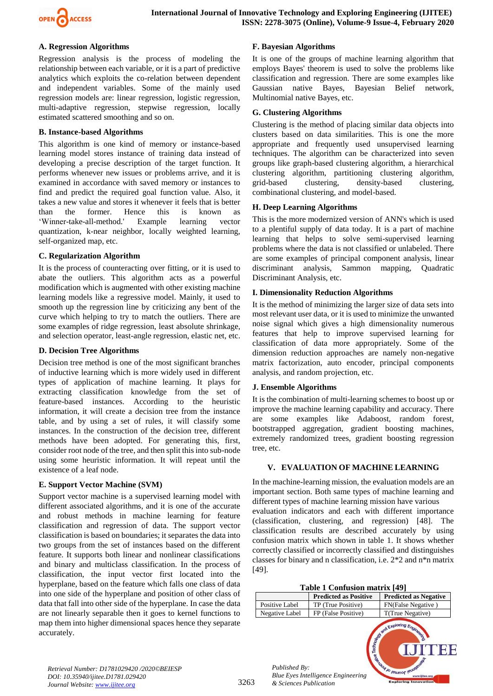

#### **A. Regression Algorithms**

Regression analysis is the process of modeling the relationship between each variable, or it is a part of predictive analytics which exploits the co-relation between dependent and independent variables. Some of the mainly used regression models are: linear regression, logistic regression, multi-adaptive regression, stepwise regression, locally estimated scattered smoothing and so on.

#### **B. Instance-based Algorithms**

This algorithm is one kind of memory or instance-based learning model stores instance of training data instead of developing a precise description of the target function. It performs whenever new issues or problems arrive, and it is examined in accordance with saved memory or instances to find and predict the required goal function value. Also, it takes a new value and stores it whenever it feels that is better than the former. Hence this is known as 'Winner-take-all-method.' Example learning vector quantization, k-near neighbor, locally weighted learning, self-organized map, etc.

#### **C. Regularization Algorithm**

It is the process of counteracting over fitting, or it is used to abate the outliers. This algorithm acts as a powerful modification which is augmented with other existing machine learning models like a regressive model. Mainly, it used to smooth up the regression line by criticizing any bent of the curve which helping to try to match the outliers. There are some examples of ridge regression, least absolute shrinkage, and selection operator, least-angle regression, elastic net, etc.

#### **D. Decision Tree Algorithms**

Decision tree method is one of the most significant branches of inductive learning which is more widely used in different types of application of machine learning. It plays for extracting classification knowledge from the set of feature-based instances. According to the heuristic information, it will create a decision tree from the instance table, and by using a set of rules, it will classify some instances. In the construction of the decision tree, different methods have been adopted. For generating this, first, consider root node of the tree, and then split this into sub-node using some heuristic information. It will repeat until the existence of a leaf node.

#### **E. Support Vector Machine (SVM)**

Support vector machine is a supervised learning model with different associated algorithms, and it is one of the accurate and robust methods in machine learning for feature classification and regression of data. The support vector classification is based on boundaries; it separates the data into two groups from the set of instances based on the different feature. It supports both linear and nonlinear classifications and binary and multiclass classification. In the process of classification, the input vector first located into the hyperplane, based on the feature which falls one class of data into one side of the hyperplane and position of other class of data that fall into other side of the hyperplane. In case the data are not linearly separable then it goes to kernel functions to map them into higher dimensional spaces hence they separate accurately.

#### **F. Bayesian Algorithms**

It is one of the groups of machine learning algorithm that employs Bayes' theorem is used to solve the problems like classification and regression. There are some examples like Gaussian native Bayes, Bayesian Belief network, Multinomial native Bayes, etc.

#### **G. Clustering Algorithms**

Clustering is the method of placing similar data objects into clusters based on data similarities. This is one the more appropriate and frequently used unsupervised learning techniques. The algorithm can be characterized into seven groups like graph-based clustering algorithm, a hierarchical clustering algorithm, partitioning clustering algorithm, grid-based clustering, density-based clustering, combinational clustering, and model-based.

#### **H. Deep Learning Algorithms**

This is the more modernized version of ANN's which is used to a plentiful supply of data today. It is a part of machine learning that helps to solve semi-supervised learning problems where the data is not classified or unlabeled. There are some examples of principal component analysis, linear discriminant analysis, Sammon mapping, Quadratic Discriminant Analysis, etc.

#### **I. Dimensionality Reduction Algorithms**

It is the method of minimizing the larger size of data sets into most relevant user data, or it is used to minimize the unwanted noise signal which gives a high dimensionality numerous features that help to improve supervised learning for classification of data more appropriately. Some of the dimension reduction approaches are namely non-negative matrix factorization, auto encoder, principal components analysis, and random projection, etc.

#### **J. Ensemble Algorithms**

It is the combination of multi-learning schemes to boost up or improve the machine learning capability and accuracy. There are some examples like Adaboost, random forest, bootstrapped aggregation, gradient boosting machines, extremely randomized trees, gradient boosting regression tree, etc.

#### **V. EVALUATION OF MACHINE LEARNING**

In the machine-learning mission, the evaluation models are an important section. Both same types of machine learning and different types of machine learning mission have various evaluation indicators and each with different importance (classification, clustering, and regression) [48]. The classification results are described accurately by using confusion matrix which shown in table 1. It shows whether correctly classified or incorrectly classified and distinguishes classes for binary and n classification, i.e. 2\*2 and n\*n matrix [49].

| Table 1 Confusion matrix [49] |  |  |  |
|-------------------------------|--|--|--|
|-------------------------------|--|--|--|

|                                         | $1.4010 \pm 0.01114010 \pm 0.011111$      |                                                                                    |
|-----------------------------------------|-------------------------------------------|------------------------------------------------------------------------------------|
|                                         | <b>Predicted as Positive</b>              | <b>Predicted as Negative</b>                                                       |
| Positive Label                          | TP (True Positive)                        | FN(False Negative)                                                                 |
| Negative Label                          | FP (False Positive)                       | T(True Negative)                                                                   |
| Published By:<br>& Sciences Publication | <b>Blue Eyes Intelligence Engineering</b> | <b>CONSTRUCTION OF STRAIGHTS</b><br>www.ijitee.org.<br><b>Exploring Innovation</b> |

*Retrieval Number: D1781029420 /2020©BEIESP DOI: 10.35940/ijitee.D1781.029420 Journal Website: www.ijitee.org*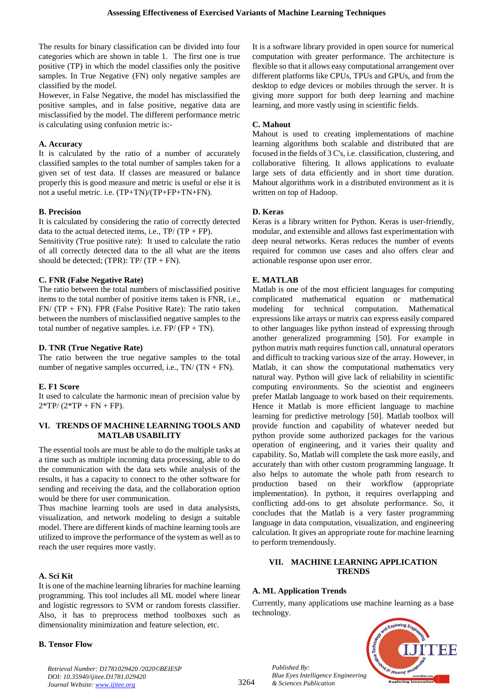The results for binary classification can be divided into four categories which are shown in table 1. The first one is true positive (TP) in which the model classifies only the positive samples. In True Negative (FN) only negative samples are classified by the model.

However, in False Negative, the model has misclassified the positive samples, and in false positive, negative data are misclassified by the model. The different performance metric is calculating using confusion metric is:-

#### **A. Accuracy**

It is calculated by the ratio of a number of accurately classified samples to the total number of samples taken for a given set of test data. If classes are measured or balance properly this is good measure and metric is useful or else it is not a useful metric. i.e. (TP+TN)/(TP+FP+TN+FN).

#### **B. Precision**

It is calculated by considering the ratio of correctly detected data to the actual detected items, i.e.,  $TP/(TP + FP)$ .

Sensitivity (True positive rate): It used to calculate the ratio of all correctly detected data to the all what are the items should be detected; (TPR):  $TP/ (TP + FN)$ .

#### **C. FNR (False Negative Rate)**

The ratio between the total numbers of misclassified positive items to the total number of positive items taken is FNR, i.e.,  $FN/ (TP + FN)$ . FPR (False Positive Rate): The ratio taken between the numbers of misclassified negative samples to the total number of negative samples. i.e. FP/ (FP + TN).

#### **D. TNR (True Negative Rate)**

The ratio between the true negative samples to the total number of negative samples occurred, i.e., TN/ (TN + FN).

#### **E. F1 Score**

It used to calculate the harmonic mean of precision value by  $2*TP/(2*TP + FN + FP).$ 

#### **VI. TRENDS OF MACHINE LEARNING TOOLS AND MATLAB USABILITY**

The essential tools are must be able to do the multiple tasks at a time such as multiple incoming data processing, able to do the communication with the data sets while analysis of the results, it has a capacity to connect to the other software for sending and receiving the data, and the collaboration option would be there for user communication.

Thus machine learning tools are used in data analysists, visualization, and network modeling to design a suitable model. There are different kinds of machine learning tools are utilized to improve the performance of the system as well as to reach the user requires more vastly.

#### **A. Sci Kit**

It is one of the machine learning libraries for machine learning programming. This tool includes all ML model where linear and logistic regressors to SVM or random forests classifier. Also, it has to preprocess method toolboxes such as dimensionality minimization and feature selection, etc.

#### **B. Tensor Flow**

It is a software library provided in open source for numerical computation with greater performance. The architecture is flexible so that it allows easy computational arrangement over different platforms like CPUs, TPUs and GPUs, and from the desktop to edge devices or mobiles through the server. It is giving more support for both deep learning and machine learning, and more vastly using in scientific fields.

#### **C. Mahout**

Mahout is used to creating implementations of machine learning algorithms both scalable and distributed that are focused in the fields of 3 C's, i.e. classification, clustering, and collaborative filtering. It allows applications to evaluate large sets of data efficiently and in short time duration. Mahout algorithms work in a distributed environment as it is written on top of Hadoop.

#### **D. Keras**

Keras is a library written for Python. Keras is user-friendly, modular, and extensible and allows fast experimentation with deep neural networks. Keras reduces the number of events required for common use cases and also offers clear and actionable response upon user error.

#### **E. MATLAB**

Matlab is one of the most efficient languages for computing complicated mathematical equation or mathematical modeling for technical computation. Mathematical expressions like arrays or matrix can express easily compared to other languages like python instead of expressing through another generalized programming [50]. For example in python matrix math requires function call, unnatural operators and difficult to tracking various size of the array. However, in Matlab, it can show the computational mathematics very natural way. Python will give lack of reliability in scientific computing environments. So the scientist and engineers prefer Matlab language to work based on their requirements. Hence it Matlab is more efficient language to machine learning for predictive metrology [50]. Matlab toolbox will provide function and capability of whatever needed but python provide some authorized packages for the various operation of engineering, and it varies their quality and capability. So, Matlab will complete the task more easily, and accurately than with other custom programming language. It also helps to automate the whole path from research to production based on their workflow (appropriate implementation). In python, it requires overlapping and conflicting add-ons to get absolute performance. So, it concludes that the Matlab is a very faster programming language in data computation, visualization, and engineering calculation. It gives an appropriate route for machine learning to perform tremendously.

#### **VII. MACHINE LEARNING APPLICATION TRENDS**

#### **A. ML Application Trends**

Currently, many applications use machine learning as a base technology.



*Retrieval Number: D1781029420 /2020©BEIESP DOI: 10.35940/ijitee.D1781.029420 Journal Website: www.ijitee.org*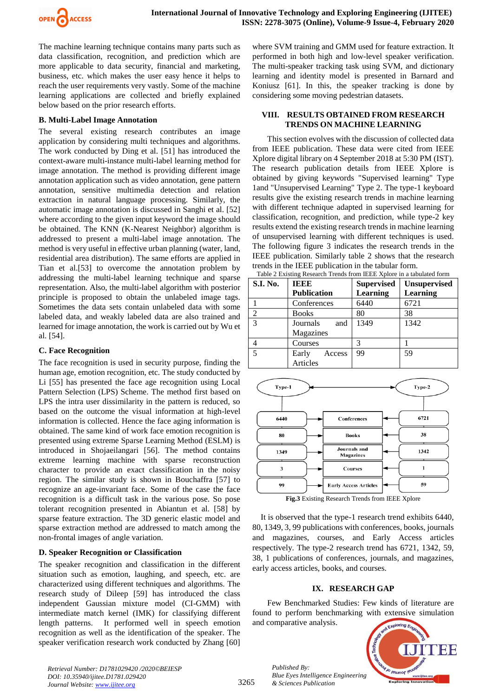

The machine learning technique contains many parts such as data classification, recognition, and prediction which are more applicable to data security, financial and marketing, business, etc. which makes the user easy hence it helps to reach the user requirements very vastly. Some of the machine learning applications are collected and briefly explained below based on the prior research efforts.

## **B. Multi-Label Image Annotation**

The several existing research contributes an image application by considering multi techniques and algorithms. The work conducted by Ding et al. [51] has introduced the context-aware multi-instance multi-label learning method for image annotation. The method is providing different image annotation application such as video annotation, gene pattern annotation, sensitive multimedia detection and relation extraction in natural language processing. Similarly, the automatic image annotation is discussed in Sanghi et al. [52] where according to the given input keyword the image should be obtained. The KNN (K-Nearest Neighbor) algorithm is addressed to present a multi-label image annotation. The method is very useful in effective urban planning (water, land, residential area distribution). The same efforts are applied in Tian et al.[53] to overcome the annotation problem by addressing the multi-label learning technique and sparse representation. Also, the multi-label algorithm with posterior principle is proposed to obtain the unlabeled image tags. Sometimes the data sets contain unlabeled data with some labeled data, and weakly labeled data are also trained and learned for image annotation, the work is carried out by Wu et al. [54].

## **C. Face Recognition**

The face recognition is used in security purpose, finding the human age, emotion recognition, etc. The study conducted by Li [55] has presented the face age recognition using Local Pattern Selection (LPS) Scheme. The method first based on LPS the intra user dissimilarity in the pattern is reduced, so based on the outcome the visual information at high-level information is collected. Hence the face aging information is obtained. The same kind of work face emotion recognition is presented using extreme Sparse Learning Method (ESLM) is introduced in Shojaeilangari [56]. The method contains extreme learning machine with sparse reconstruction character to provide an exact classification in the noisy region. The similar study is shown in Bouchaffra [57] to recognize an age-invariant face. Some of the case the face recognition is a difficult task in the various pose. So pose tolerant recognition presented in Abiantun et al. [58] by sparse feature extraction. The 3D generic elastic model and sparse extraction method are addressed to match among the non-frontal images of angle variation.

# **D. Speaker Recognition or Classification**

The speaker recognition and classification in the different situation such as emotion, laughing, and speech, etc. are characterized using different techniques and algorithms. The research study of Dileep [59] has introduced the class independent Gaussian mixture model (CI-GMM) with intermediate match kernel (IMK) for classifying different length patterns. It performed well in speech emotion recognition as well as the identification of the speaker. The speaker verification research work conducted by Zhang [60]

where SVM training and GMM used for feature extraction. It performed in both high and low-level speaker verification. The multi-speaker tracking task using SVM, and dictionary learning and identity model is presented in Barnard and Koniusz [61]. In this, the speaker tracking is done by considering some moving pedestrian datasets.

### **VIII. RESULTS OBTAINED FROM RESEARCH TRENDS ON MACHINE LEARNING**

This section evolves with the discussion of collected data from IEEE publication. These data were cited from IEEE Xplore digital library on 4 September 2018 at 5:30 PM (IST). The research publication details from IEEE Xplore is obtained by giving keywords "Supervised learning" Type 1and "Unsupervised Learning" Type 2. The type-1 keyboard results give the existing research trends in machine learning with different technique adapted in supervised learning for classification, recognition, and prediction, while type-2 key results extend the existing research trends in machine learning of unsupervised learning with different techniques is used. The following figure 3 indicates the research trends in the IEEE publication. Similarly table 2 shows that the research trends in the IEEE publication in the tabular form. Table 2 Evisting Research Trends from

| <b>S.I. No.</b> | IEEE               | <b>Supervised</b> | <b>Unsupervised</b> |
|-----------------|--------------------|-------------------|---------------------|
|                 | <b>Publication</b> | Learning          | Learning            |
|                 | Conferences        | 6440              | 6721                |
| 2               | <b>Books</b>       | 80                | 38                  |
| $\overline{3}$  | and<br>Journals    | 1349              | 1342                |
|                 | Magazines          |                   |                     |
| 4               | Courses            | 3                 |                     |
| 5               | Early<br>Access    | 99                | 59                  |
|                 | Articles           |                   |                     |



**Fig.3** Existing Research Trends from IEEE Xplore

It is observed that the type-1 research trend exhibits 6440, 80, 1349, 3, 99 publications with conferences, books, journals and magazines, courses, and Early Access articles respectively. The type-2 research trend has 6721, 1342, 59, 38, 1 publications of conferences, journals, and magazines, early access articles, books, and courses.

# **IX. RESEARCH GAP**

Few Benchmarked Studies: Few kinds of literature are found to perform benchmarking with extensive simulation and comparative analysis.



*Retrieval Number: D1781029420 /2020©BEIESP DOI: 10.35940/ijitee.D1781.029420 Journal Website: www.ijitee.org*

*Published By:*

*& Sciences Publication*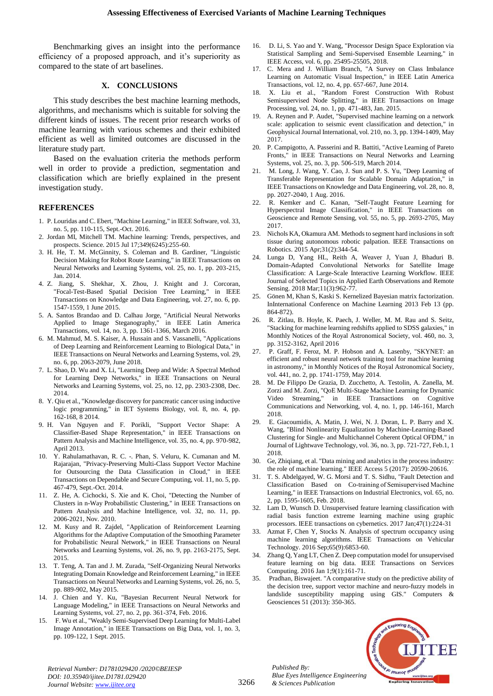Benchmarking gives an insight into the performance efficiency of a proposed approach, and it's superiority as compared to the state of art baselines.

#### **X. CONCLUSIONS**

This study describes the best machine learning methods, algorithms, and mechanisms which is suitable for solving the different kinds of issues. The recent prior research works of machine learning with various schemes and their exhibited efficient as well as limited outcomes are discussed in the literature study part.

Based on the evaluation criteria the methods perform well in order to provide a prediction, segmentation and classification which are briefly explained in the present investigation study.

#### **REFERENCES**

- 1. P. Louridas and C. Ebert, "Machine Learning," in IEEE Software, vol. 33, no. 5, pp. 110-115, Sept.-Oct. 2016.
- 2. Jordan MI, Mitchell TM. Machine learning: Trends, perspectives, and prospects. Science. 2015 Jul 17;349(6245):255-60.
- 3. H. He, T. M. McGinnity, S. Coleman and B. Gardiner, "Linguistic Decision Making for Robot Route Learning," in IEEE Transactions on Neural Networks and Learning Systems, vol. 25, no. 1, pp. 203-215, Jan. 2014.
- 4. Z. Jiang, S. Shekhar, X. Zhou, J. Knight and J. Corcoran, "Focal-Test-Based Spatial Decision Tree Learning," in IEEE Transactions on Knowledge and Data Engineering, vol. 27, no. 6, pp. 1547-1559, 1 June 2015.
- 5. A. Santos Brandao and D. Calhau Jorge, "Artificial Neural Networks Applied to Image Steganography," in IEEE Latin America Transactions, vol. 14, no. 3, pp. 1361-1366, March 2016.
- 6. M. Mahmud, M. S. Kaiser, A. Hussain and S. Vassanelli, "Applications of Deep Learning and Reinforcement Learning to Biological Data," in IEEE Transactions on Neural Networks and Learning Systems, vol. 29, no. 6, pp. 2063-2079, June 2018.
- 7. L. Shao, D. Wu and X. Li, "Learning Deep and Wide: A Spectral Method for Learning Deep Networks," in IEEE Transactions on Neural Networks and Learning Systems, vol. 25, no. 12, pp. 2303-2308, Dec. 2014.
- 8. Y. Qiu et al., "Knowledge discovery for pancreatic cancer using inductive logic programming," in IET Systems Biology, vol. 8, no. 4, pp. 162-168, 8 2014.
- 9. H. Van Nguyen and F. Porikli, "Support Vector Shape: A Classifier-Based Shape Representation," in IEEE Transactions on Pattern Analysis and Machine Intelligence, vol. 35, no. 4, pp. 970-982, April 2013.
- 10. Y. Rahulamathavan, R. C. -. Phan, S. Veluru, K. Cumanan and M. Rajarajan, "Privacy-Preserving Multi-Class Support Vector Machine for Outsourcing the Data Classification in Cloud," in IEEE Transactions on Dependable and Secure Computing, vol. 11, no. 5, pp. 467-479, Sept.-Oct. 2014.
- 11. Z. He, A. Cichocki, S. Xie and K. Choi, "Detecting the Number of Clusters in n-Way Probabilistic Clustering," in IEEE Transactions on Pattern Analysis and Machine Intelligence, vol. 32, no. 11, pp. 2006-2021, Nov. 2010.
- 12. M. Kusy and R. Zajdel, "Application of Reinforcement Learning Algorithms for the Adaptive Computation of the Smoothing Parameter for Probabilistic Neural Network," in IEEE Transactions on Neural Networks and Learning Systems, vol. 26, no. 9, pp. 2163-2175, Sept. 2015.
- 13. T. Teng, A. Tan and J. M. Zurada, "Self-Organizing Neural Networks Integrating Domain Knowledge and Reinforcement Learning," in IEEE Transactions on Neural Networks and Learning Systems, vol. 26, no. 5, pp. 889-902, May 2015.
- 14. J. Chien and Y. Ku, "Bayesian Recurrent Neural Network for Language Modeling," in IEEE Transactions on Neural Networks and Learning Systems, vol. 27, no. 2, pp. 361-374, Feb. 2016.
- 15. F. Wu et al., "Weakly Semi-Supervised Deep Learning for Multi-Label Image Annotation," in IEEE Transactions on Big Data, vol. 1, no. 3, pp. 109-122, 1 Sept. 2015.
- 16. D. Li, S. Yao and Y. Wang, "Processor Design Space Exploration via Statistical Sampling and Semi-Supervised Ensemble Learning," in IEEE Access, vol. 6, pp. 25495-25505, 2018.
- 17. C. Mera and J. William Branch, "A Survey on Class Imbalance Learning on Automatic Visual Inspection," in IEEE Latin America Transactions, vol. 12, no. 4, pp. 657-667, June 2014.
- 18. X. Liu et al., "Random Forest Construction With Robust Semisupervised Node Splitting," in IEEE Transactions on Image Processing, vol. 24, no. 1, pp. 471-483, Jan. 2015.
- 19. A. Reynen and P. Audet, "Supervised machine learning on a network scale: application to seismic event classification and detection," in Geophysical Journal International, vol. 210, no. 3, pp. 1394-1409, May 2017.
- 20. P. Campigotto, A. Passerini and R. Battiti, "Active Learning of Pareto Fronts," in IEEE Transactions on Neural Networks and Learning Systems, vol. 25, no. 3, pp. 506-519, March 2014.
- 21. M. Long, J. Wang, Y. Cao, J. Sun and P. S. Yu, "Deep Learning of Transferable Representation for Scalable Domain Adaptation," in IEEE Transactions on Knowledge and Data Engineering, vol. 28, no. 8, pp. 2027-2040, 1 Aug. 2016.
- 22. R. Kemker and C. Kanan, "Self-Taught Feature Learning for Hyperspectral Image Classification," in IEEE Transactions on Geoscience and Remote Sensing, vol. 55, no. 5, pp. 2693-2705, May 2017.
- 23. Nichols KA, Okamura AM. Methods to segment hard inclusions in soft tissue during autonomous robotic palpation. IEEE Transactions on Robotics. 2015 Apr;31(2):344-54.
- Lunga D, Yang HL, Reith A, Weaver J, Yuan J, Bhaduri B. Domain-Adapted Convolutional Networks for Satellite Image Classification: A Large-Scale Interactive Learning Workflow. IEEE Journal of Selected Topics in Applied Earth Observations and Remote Sensing. 2018 Mar;11(3):962-77.
- 25. Gönen M, Khan S, Kaski S. Kernelized Bayesian matrix factorization. InInternational Conference on Machine Learning 2013 Feb 13 (pp. 864-872).
- 26. R. Zitlau, B. Hoyle, K. Paech, J. Weller, M. M. Rau and S. Seitz, "Stacking for machine learning redshifts applied to SDSS galaxies," in Monthly Notices of the Royal Astronomical Society, vol. 460, no. 3, pp. 3152-3162, April 2016
- 27. P. Graff, F. Feroz, M. P. Hobson and A. Lasenby, "SKYNET: an efficient and robust neural network training tool for machine learning in astronomy," in Monthly Notices of the Royal Astronomical Society, vol. 441, no. 2, pp. 1741-1759, May 2014.
- 28. M. De Filippo De Grazia, D. Zucchetto, A. Testolin, A. Zanella, M. Zorzi and M. Zorzi, "QoE Multi-Stage Machine Learning for Dynamic Video Streaming," in IEEE Transactions on Cognitive Communications and Networking, vol. 4, no. 1, pp. 146-161, March 2018.
- 29. E. Giacoumidis, A. Matin, J. Wei, N. J. Doran, L. P. Barry and X. Wang, "Blind Nonlinearity Equalization by Machine-Learning-Based Clustering for Single- and Multichannel Coherent Optical OFDM," in Journal of Lightwave Technology, vol. 36, no. 3, pp. 721-727, Feb.1, 1 2018.
- 30. Ge, Zhiqiang, et al. "Data mining and analytics in the process industry: the role of machine learning." IEEE Access 5 (2017): 20590-20616.
- 31. T. S. Abdelgayed, W. G. Morsi and T. S. Sidhu, "Fault Detection and Classification Based on Co-training of Semisupervised Machine Learning," in IEEE Transactions on Industrial Electronics, vol. 65, no. 2, pp. 1595-1605, Feb. 2018.
- Lam D, Wunsch D. Unsupervised feature learning classification with radial basis function extreme learning machine using graphic processors. IEEE transactions on cybernetics. 2017 Jan;47(1):224-31
- 33. Azmat F, Chen Y, Stocks N. Analysis of spectrum occupancy using machine learning algorithms. IEEE Transactions on Vehicular Technology. 2016 Sep;65(9):6853-60.
- 34. Zhang Q, Yang LT, Chen Z. Deep computation model for unsupervised feature learning on big data. IEEE Transactions on Services Computing. 2016 Jan 1;9(1):161-71.
- 35. Pradhan, Biswajeet. "A comparative study on the predictive ability of the decision tree, support vector machine and neuro-fuzzy models in landslide susceptibility mapping using GIS." Computers & Geosciences 51 (2013): 350-365.



*Retrieval Number: D1781029420 /2020©BEIESP DOI: 10.35940/ijitee.D1781.029420 Journal Website: www.ijitee.org*